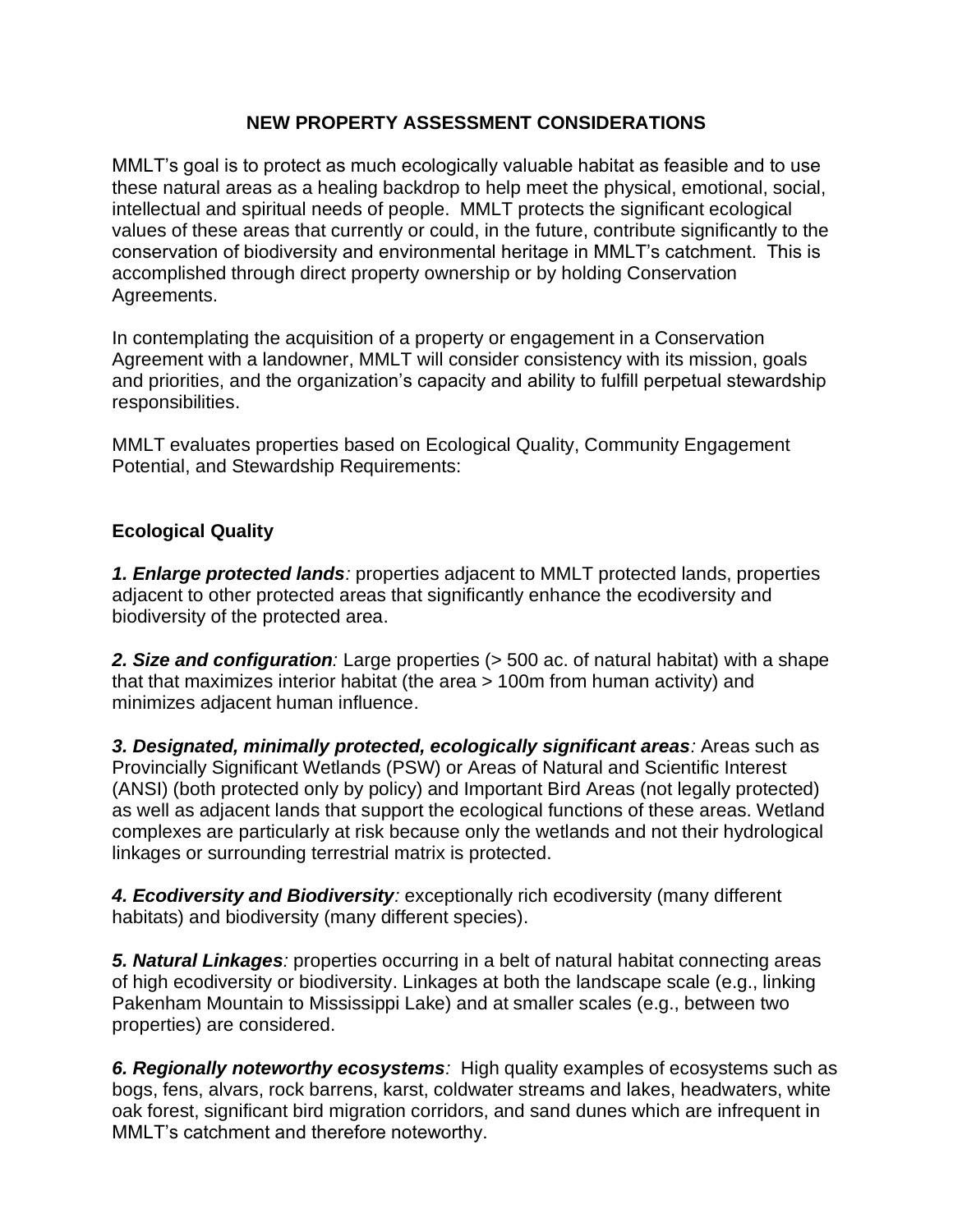## **NEW PROPERTY ASSESSMENT CONSIDERATIONS**

MMLT's goal is to protect as much ecologically valuable habitat as feasible and to use these natural areas as a healing backdrop to help meet the physical, emotional, social, intellectual and spiritual needs of people. MMLT protects the significant ecological values of these areas that currently or could, in the future, contribute significantly to the conservation of biodiversity and environmental heritage in MMLT's catchment. This is accomplished through direct property ownership or by holding Conservation Agreements.

In contemplating the acquisition of a property or engagement in a Conservation Agreement with a landowner, MMLT will consider consistency with its mission, goals and priorities, and the organization's capacity and ability to fulfill perpetual stewardship responsibilities.

MMLT evaluates properties based on Ecological Quality, Community Engagement Potential, and Stewardship Requirements:

## **Ecological Quality**

*1. Enlarge protected lands:* properties adjacent to MMLT protected lands, properties adjacent to other protected areas that significantly enhance the ecodiversity and biodiversity of the protected area.

**2. Size and configuration**: Large properties ( $>$  500 ac. of natural habitat) with a shape that that maximizes interior habitat (the area > 100m from human activity) and minimizes adjacent human influence.

*3. Designated, minimally protected, ecologically significant areas:* Areas such as Provincially Significant Wetlands (PSW) or Areas of Natural and Scientific Interest (ANSI) (both protected only by policy) and Important Bird Areas (not legally protected) as well as adjacent lands that support the ecological functions of these areas. Wetland complexes are particularly at risk because only the wetlands and not their hydrological linkages or surrounding terrestrial matrix is protected.

*4. Ecodiversity and Biodiversity:* exceptionally rich ecodiversity (many different habitats) and biodiversity (many different species).

*5. Natural Linkages:* properties occurring in a belt of natural habitat connecting areas of high ecodiversity or biodiversity. Linkages at both the landscape scale (e.g., linking Pakenham Mountain to Mississippi Lake) and at smaller scales (e.g., between two properties) are considered.

*6. Regionally noteworthy ecosystems:* High quality examples of ecosystems such as bogs, fens, alvars, rock barrens, karst, coldwater streams and lakes, headwaters, white oak forest, significant bird migration corridors, and sand dunes which are infrequent in MMLT's catchment and therefore noteworthy.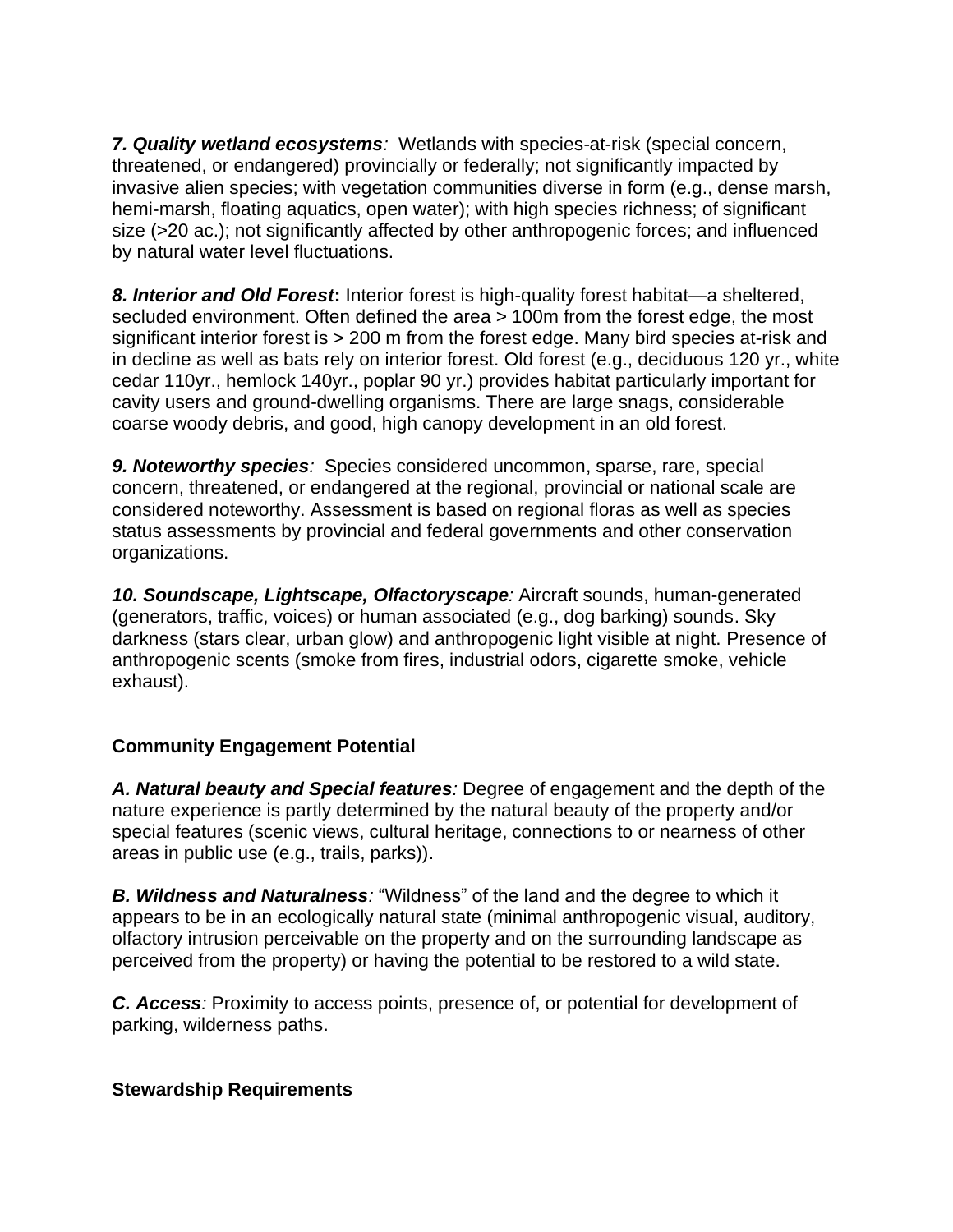*7. Quality wetland ecosystems:* Wetlands with species-at-risk (special concern, threatened, or endangered) provincially or federally; not significantly impacted by invasive alien species; with vegetation communities diverse in form (e.g., dense marsh, hemi-marsh, floating aquatics, open water); with high species richness; of significant size (>20 ac.); not significantly affected by other anthropogenic forces; and influenced by natural water level fluctuations.

*8. Interior and Old Forest***:** Interior forest is high-quality forest habitat—a sheltered, secluded environment. Often defined the area > 100m from the forest edge, the most significant interior forest is > 200 m from the forest edge. Many bird species at-risk and in decline as well as bats rely on interior forest. Old forest (e.g., deciduous 120 yr., white cedar 110yr., hemlock 140yr., poplar 90 yr.) provides habitat particularly important for cavity users and ground-dwelling organisms. There are large snags, considerable coarse woody debris, and good, high canopy development in an old forest.

**9. Noteworthy species**: Species considered uncommon, sparse, rare, special concern, threatened, or endangered at the regional, provincial or national scale are considered noteworthy. Assessment is based on regional floras as well as species status assessments by provincial and federal governments and other conservation organizations.

*10. Soundscape, Lightscape, Olfactoryscape:* Aircraft sounds, human-generated (generators, traffic, voices) or human associated (e.g., dog barking) sounds. Sky darkness (stars clear, urban glow) and anthropogenic light visible at night. Presence of anthropogenic scents (smoke from fires, industrial odors, cigarette smoke, vehicle exhaust).

## **Community Engagement Potential**

*A. Natural beauty and Special features:* Degree of engagement and the depth of the nature experience is partly determined by the natural beauty of the property and/or special features (scenic views, cultural heritage, connections to or nearness of other areas in public use (e.g., trails, parks)).

*B. Wildness and Naturalness:* "Wildness" of the land and the degree to which it appears to be in an ecologically natural state (minimal anthropogenic visual, auditory, olfactory intrusion perceivable on the property and on the surrounding landscape as perceived from the property) or having the potential to be restored to a wild state.

*C. Access:* Proximity to access points, presence of, or potential for development of parking, wilderness paths.

## **Stewardship Requirements**